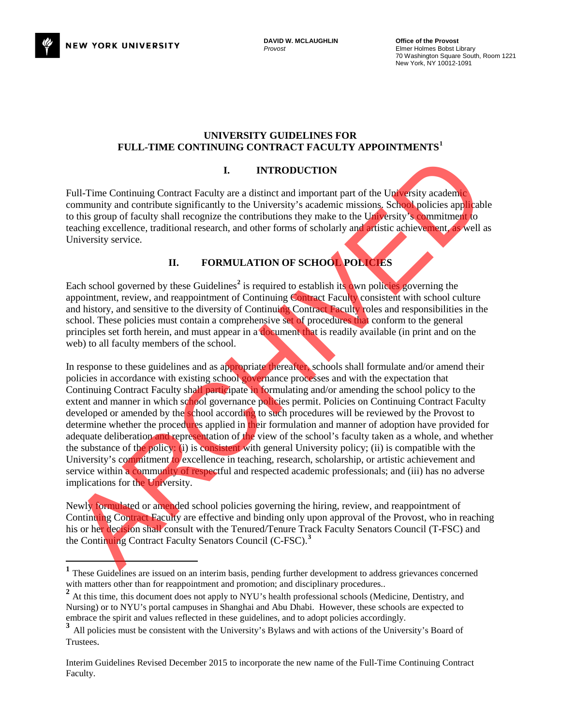

l

#### **UNIVERSITY GUIDELINES FOR FULL-TIME CONTINUING CONTRACT FACULTY APPOINTMENTS[1](#page-0-0)**

### **I. INTRODUCTION**

Full-Time Continuing Contract Faculty are a distinct and important part of the University academic community and contribute significantly to the University's academic missions. School policies applicable to this group of faculty shall recognize the contributions they make to the University's commitment to teaching excellence, traditional research, and other forms of scholarly and artistic achievement, as well as University service.

# **II. FORMULATION OF SCHOOL POLICIES**

Each school governed by these Guidelines<sup>2</sup> is required to establish its own policies governing the appointment, review, and reappointment of Continuing Contract Faculty consistent with school culture and history, and sensitive to the diversity of Continuing Contract Faculty roles and responsibilities in the school. These policies must contain a comprehensive set of procedures that conform to the general principles set forth herein, and must appear in a document that is readily available (in print and on the web) to all faculty members of the school.

In response to these guidelines and as appropriate thereafter, schools shall formulate and/or amend their policies in accordance with existing school governance processes and with the expectation that Continuing Contract Faculty shall participate in formulating and/or amending the school policy to the extent and manner in which school governance policies permit. Policies on Continuing Contract Faculty developed or amended by the school according to such procedures will be reviewed by the Provost to determine whether the procedures applied in their formulation and manner of adoption have provided for adequate deliberation and representation of the view of the school's faculty taken as a whole, and whether the substance of the policy: (i) is consistent with general University policy; (ii) is compatible with the University's commitment to excellence in teaching, research, scholarship, or artistic achievement and service within a community of respectful and respected academic professionals; and (iii) has no adverse implications for the University. **THE CONTINUE CONTINUE CONTINUE CONTINUE CONTINUES TO THE CONTINUES CONTINUES CONTINUES CONTINUES CONTINUES CONTINUES CONTINUES CONTINUES CONTINUES CONTINUES CONTINUES CONTINUES CONTINUES CONTINUES CONTINUES CONTINUES CON** 

Newly formulated or amended school policies governing the hiring, review, and reappointment of Continuing Contract Faculty are effective and binding only upon approval of the Provost, who in reaching his or her decision shall consult with the Tenured/Tenure Track Faculty Senators Council (T-FSC) and the Continuing Contract Faculty Senators Council (C-FSC).**<sup>3</sup>**

<span id="page-0-0"></span><sup>&</sup>lt;sup>1</sup> These Guidelines are issued on an interim basis, pending further development to address grievances concerned

<span id="page-0-1"></span>with matters other than for reappointment and promotion; and disciplinary procedures.. <sup>2</sup> At this time, this document does not apply to NYU's health professional schools (Medicine, Dentistry, and Nursing) or to NYU's portal campuses in Shanghai and Abu Dhabi. However, these schools are expected to embrace the spirit and values reflected in these guidelines, and to adopt policies accordingly.

<span id="page-0-2"></span><sup>&</sup>lt;sup>3</sup> All policies must be consistent with the University's Bylaws and with actions of the University's Board of Trustees.

Interim Guidelines Revised December 2015 to incorporate the new name of the Full-Time Continuing Contract Faculty.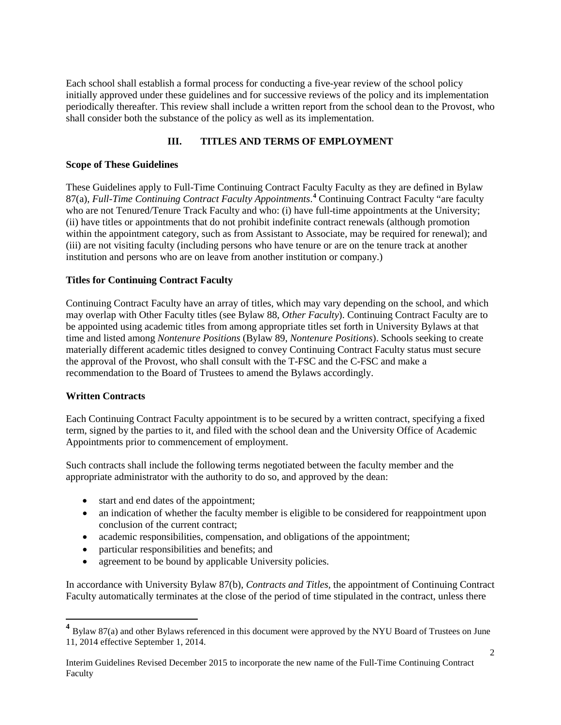Each school shall establish a formal process for conducting a five-year review of the school policy initially approved under these guidelines and for successive reviews of the policy and its implementation periodically thereafter. This review shall include a written report from the school dean to the Provost, who shall consider both the substance of the policy as well as its implementation.

# **III. TITLES AND TERMS OF EMPLOYMENT**

### **Scope of These Guidelines**

These Guidelines apply to Full-Time Continuing Contract Faculty Faculty as they are defined in Bylaw 87(a), *Full-Time Continuing Contract Faculty Appointments*. **[4](#page-1-0)** Continuing Contract Faculty "are faculty who are not Tenured/Tenure Track Faculty and who: (i) have full-time appointments at the University; (ii) have titles or appointments that do not prohibit indefinite contract renewals (although promotion within the appointment category, such as from Assistant to Associate, may be required for renewal); and (iii) are not visiting faculty (including persons who have tenure or are on the tenure track at another institution and persons who are on leave from another institution or company.)

## **Titles for Continuing Contract Faculty**

Continuing Contract Faculty have an array of titles, which may vary depending on the school, and which may overlap with Other Faculty titles (see Bylaw 88, *Other Faculty*). Continuing Contract Faculty are to be appointed using academic titles from among appropriate titles set forth in University Bylaws at that time and listed among *Nontenure Positions* (Bylaw 89, *Nontenure Positions*). Schools seeking to create materially different academic titles designed to convey Continuing Contract Faculty status must secure the approval of the Provost, who shall consult with the T-FSC and the C-FSC and make a recommendation to the Board of Trustees to amend the Bylaws accordingly.

### **Written Contracts**

Each Continuing Contract Faculty appointment is to be secured by a written contract, specifying a fixed term, signed by the parties to it, and filed with the school dean and the University Office of Academic Appointments prior to commencement of employment.

Such contracts shall include the following terms negotiated between the faculty member and the appropriate administrator with the authority to do so, and approved by the dean:

- start and end dates of the appointment;
- an indication of whether the faculty member is eligible to be considered for reappointment upon conclusion of the current contract;
- academic responsibilities, compensation, and obligations of the appointment;
- particular responsibilities and benefits; and
- agreement to be bound by applicable University policies.

In accordance with University Bylaw 87(b), *Contracts and Titles,* the appointment of Continuing Contract Faculty automatically terminates at the close of the period of time stipulated in the contract, unless there

<span id="page-1-0"></span>**<sup>4</sup>** Bylaw 87(a) and other Bylaws referenced in this document were approved by the NYU Board of Trustees on June 11, 2014 effective September 1, 2014.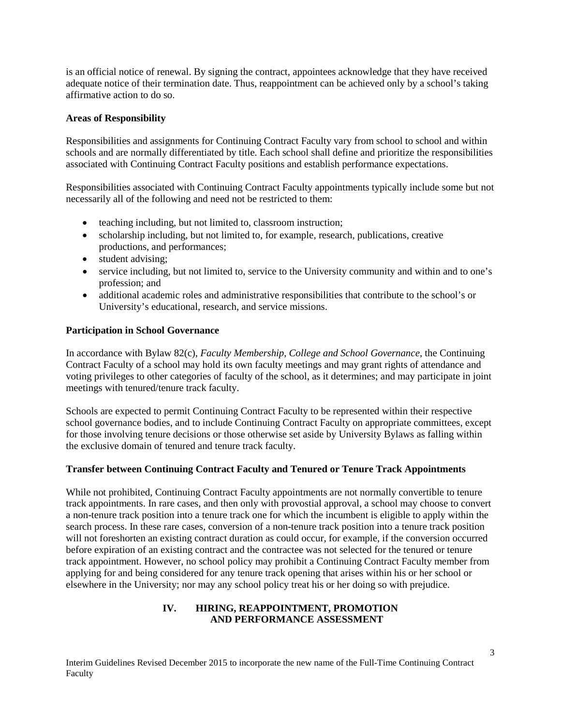is an official notice of renewal. By signing the contract, appointees acknowledge that they have received adequate notice of their termination date. Thus, reappointment can be achieved only by a school's taking affirmative action to do so.

## **Areas of Responsibility**

Responsibilities and assignments for Continuing Contract Faculty vary from school to school and within schools and are normally differentiated by title. Each school shall define and prioritize the responsibilities associated with Continuing Contract Faculty positions and establish performance expectations.

Responsibilities associated with Continuing Contract Faculty appointments typically include some but not necessarily all of the following and need not be restricted to them:

- teaching including, but not limited to, classroom instruction;
- scholarship including, but not limited to, for example, research, publications, creative productions, and performances;
- student advising:
- service including, but not limited to, service to the University community and within and to one's profession; and
- additional academic roles and administrative responsibilities that contribute to the school's or University's educational, research, and service missions.

### **Participation in School Governance**

In accordance with Bylaw 82(c), *Faculty Membership, College and School Governance,* the Continuing Contract Faculty of a school may hold its own faculty meetings and may grant rights of attendance and voting privileges to other categories of faculty of the school, as it determines; and may participate in joint meetings with tenured/tenure track faculty.

Schools are expected to permit Continuing Contract Faculty to be represented within their respective school governance bodies, and to include Continuing Contract Faculty on appropriate committees, except for those involving tenure decisions or those otherwise set aside by University Bylaws as falling within the exclusive domain of tenured and tenure track faculty.

### **Transfer between Continuing Contract Faculty and Tenured or Tenure Track Appointments**

While not prohibited, Continuing Contract Faculty appointments are not normally convertible to tenure track appointments. In rare cases, and then only with provostial approval, a school may choose to convert a non-tenure track position into a tenure track one for which the incumbent is eligible to apply within the search process. In these rare cases, conversion of a non-tenure track position into a tenure track position will not foreshorten an existing contract duration as could occur, for example, if the conversion occurred before expiration of an existing contract and the contractee was not selected for the tenured or tenure track appointment. However, no school policy may prohibit a Continuing Contract Faculty member from applying for and being considered for any tenure track opening that arises within his or her school or elsewhere in the University; nor may any school policy treat his or her doing so with prejudice.

### **IV. HIRING, REAPPOINTMENT, PROMOTION AND PERFORMANCE ASSESSMENT**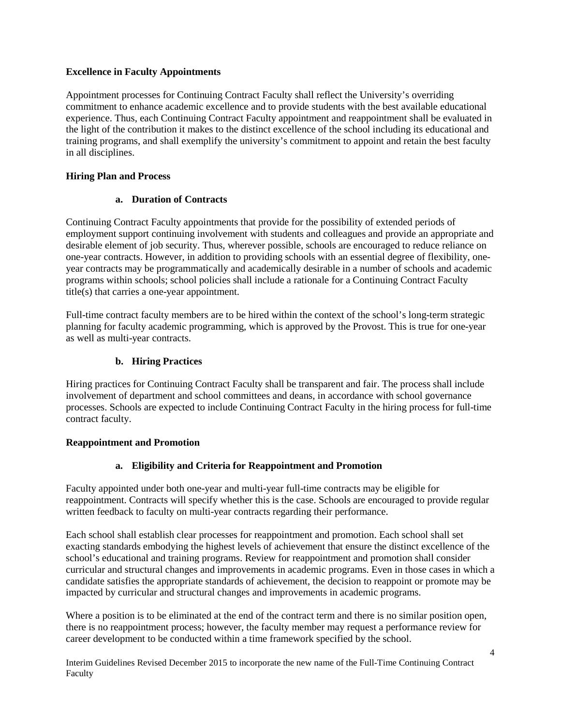## **Excellence in Faculty Appointments**

Appointment processes for Continuing Contract Faculty shall reflect the University's overriding commitment to enhance academic excellence and to provide students with the best available educational experience. Thus, each Continuing Contract Faculty appointment and reappointment shall be evaluated in the light of the contribution it makes to the distinct excellence of the school including its educational and training programs, and shall exemplify the university's commitment to appoint and retain the best faculty in all disciplines.

## **Hiring Plan and Process**

## **a. Duration of Contracts**

Continuing Contract Faculty appointments that provide for the possibility of extended periods of employment support continuing involvement with students and colleagues and provide an appropriate and desirable element of job security. Thus, wherever possible, schools are encouraged to reduce reliance on one-year contracts. However, in addition to providing schools with an essential degree of flexibility, oneyear contracts may be programmatically and academically desirable in a number of schools and academic programs within schools; school policies shall include a rationale for a Continuing Contract Faculty title(s) that carries a one-year appointment.

Full-time contract faculty members are to be hired within the context of the school's long-term strategic planning for faculty academic programming, which is approved by the Provost. This is true for one-year as well as multi-year contracts.

## **b. Hiring Practices**

Hiring practices for Continuing Contract Faculty shall be transparent and fair. The process shall include involvement of department and school committees and deans, in accordance with school governance processes. Schools are expected to include Continuing Contract Faculty in the hiring process for full-time contract faculty.

### **Reappointment and Promotion**

## **a. Eligibility and Criteria for Reappointment and Promotion**

Faculty appointed under both one-year and multi-year full-time contracts may be eligible for reappointment. Contracts will specify whether this is the case. Schools are encouraged to provide regular written feedback to faculty on multi-year contracts regarding their performance.

Each school shall establish clear processes for reappointment and promotion. Each school shall set exacting standards embodying the highest levels of achievement that ensure the distinct excellence of the school's educational and training programs. Review for reappointment and promotion shall consider curricular and structural changes and improvements in academic programs. Even in those cases in which a candidate satisfies the appropriate standards of achievement, the decision to reappoint or promote may be impacted by curricular and structural changes and improvements in academic programs.

Where a position is to be eliminated at the end of the contract term and there is no similar position open, there is no reappointment process; however, the faculty member may request a performance review for career development to be conducted within a time framework specified by the school.

Interim Guidelines Revised December 2015 to incorporate the new name of the Full-Time Continuing Contract Faculty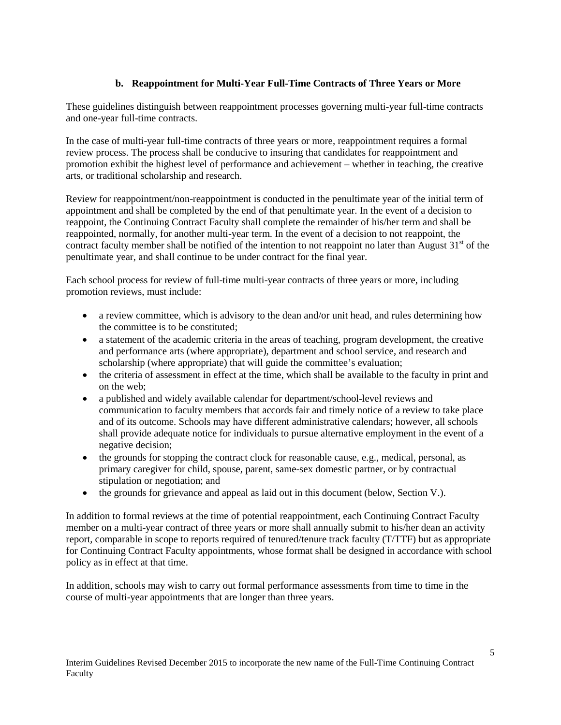# **b. Reappointment for Multi-Year Full-Time Contracts of Three Years or More**

These guidelines distinguish between reappointment processes governing multi-year full-time contracts and one-year full-time contracts.

In the case of multi-year full-time contracts of three years or more, reappointment requires a formal review process. The process shall be conducive to insuring that candidates for reappointment and promotion exhibit the highest level of performance and achievement – whether in teaching, the creative arts, or traditional scholarship and research.

Review for reappointment/non-reappointment is conducted in the penultimate year of the initial term of appointment and shall be completed by the end of that penultimate year. In the event of a decision to reappoint, the Continuing Contract Faculty shall complete the remainder of his/her term and shall be reappointed, normally, for another multi-year term. In the event of a decision to not reappoint, the contract faculty member shall be notified of the intention to not reappoint no later than August  $31<sup>st</sup>$  of the penultimate year, and shall continue to be under contract for the final year.

Each school process for review of full-time multi-year contracts of three years or more, including promotion reviews, must include:

- a review committee, which is advisory to the dean and/or unit head, and rules determining how the committee is to be constituted;
- a statement of the academic criteria in the areas of teaching, program development, the creative and performance arts (where appropriate), department and school service, and research and scholarship (where appropriate) that will guide the committee's evaluation;
- the criteria of assessment in effect at the time, which shall be available to the faculty in print and on the web;
- a published and widely available calendar for department/school-level reviews and communication to faculty members that accords fair and timely notice of a review to take place and of its outcome. Schools may have different administrative calendars; however, all schools shall provide adequate notice for individuals to pursue alternative employment in the event of a negative decision;
- the grounds for stopping the contract clock for reasonable cause, e.g., medical, personal, as primary caregiver for child, spouse, parent, same-sex domestic partner, or by contractual stipulation or negotiation; and
- the grounds for grievance and appeal as laid out in this document (below, Section V.).

In addition to formal reviews at the time of potential reappointment, each Continuing Contract Faculty member on a multi-year contract of three years or more shall annually submit to his/her dean an activity report, comparable in scope to reports required of tenured/tenure track faculty (T/TTF) but as appropriate for Continuing Contract Faculty appointments, whose format shall be designed in accordance with school policy as in effect at that time.

In addition, schools may wish to carry out formal performance assessments from time to time in the course of multi-year appointments that are longer than three years.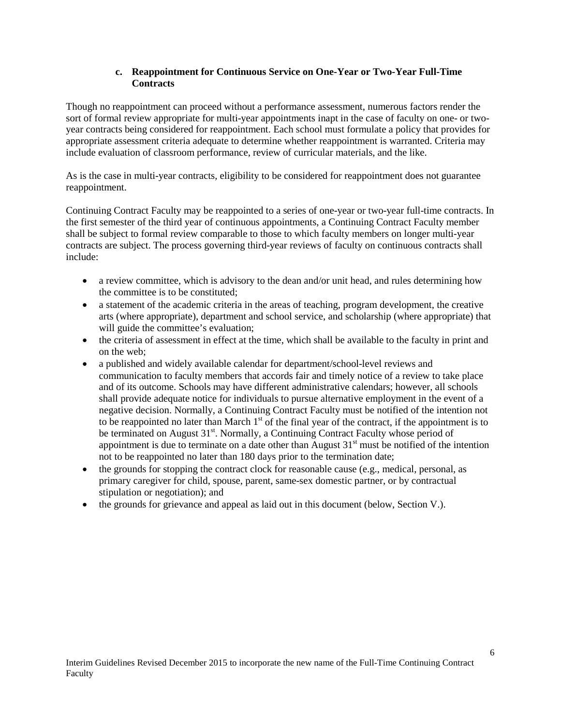### **c. Reappointment for Continuous Service on One-Year or Two-Year Full-Time Contracts**

Though no reappointment can proceed without a performance assessment, numerous factors render the sort of formal review appropriate for multi-year appointments inapt in the case of faculty on one- or twoyear contracts being considered for reappointment. Each school must formulate a policy that provides for appropriate assessment criteria adequate to determine whether reappointment is warranted. Criteria may include evaluation of classroom performance, review of curricular materials, and the like.

As is the case in multi-year contracts, eligibility to be considered for reappointment does not guarantee reappointment.

Continuing Contract Faculty may be reappointed to a series of one-year or two-year full-time contracts. In the first semester of the third year of continuous appointments, a Continuing Contract Faculty member shall be subject to formal review comparable to those to which faculty members on longer multi-year contracts are subject. The process governing third-year reviews of faculty on continuous contracts shall include:

- a review committee, which is advisory to the dean and/or unit head, and rules determining how the committee is to be constituted;
- a statement of the academic criteria in the areas of teaching, program development, the creative arts (where appropriate), department and school service, and scholarship (where appropriate) that will guide the committee's evaluation;
- the criteria of assessment in effect at the time, which shall be available to the faculty in print and on the web;
- a published and widely available calendar for department/school-level reviews and communication to faculty members that accords fair and timely notice of a review to take place and of its outcome. Schools may have different administrative calendars; however, all schools shall provide adequate notice for individuals to pursue alternative employment in the event of a negative decision. Normally, a Continuing Contract Faculty must be notified of the intention not to be reappointed no later than March  $1<sup>st</sup>$  of the final year of the contract, if the appointment is to be terminated on August 31<sup>st</sup>. Normally, a Continuing Contract Faculty whose period of appointment is due to terminate on a date other than August  $31<sup>st</sup>$  must be notified of the intention not to be reappointed no later than 180 days prior to the termination date;
- the grounds for stopping the contract clock for reasonable cause (e.g., medical, personal, as primary caregiver for child, spouse, parent, same-sex domestic partner, or by contractual stipulation or negotiation); and
- the grounds for grievance and appeal as laid out in this document (below, Section V.).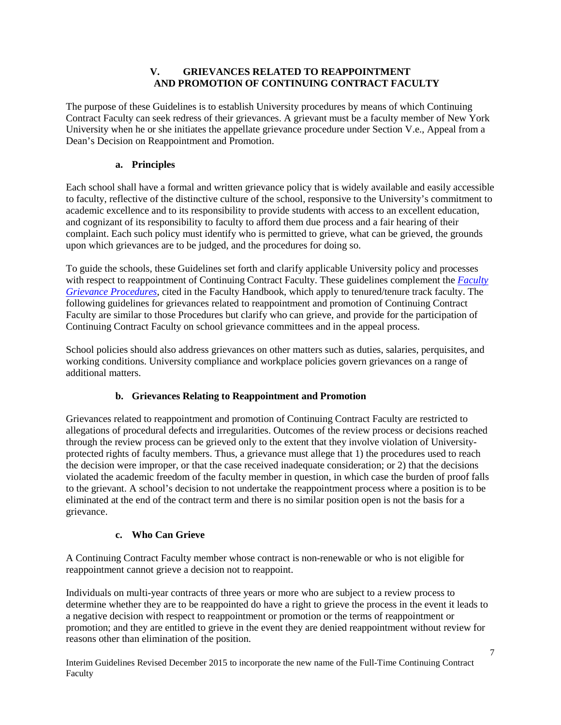## **V. GRIEVANCES RELATED TO REAPPOINTMENT AND PROMOTION OF CONTINUING CONTRACT FACULTY**

The purpose of these Guidelines is to establish University procedures by means of which Continuing Contract Faculty can seek redress of their grievances. A grievant must be a faculty member of New York University when he or she initiates the appellate grievance procedure under Section V.e., Appeal from a Dean's Decision on Reappointment and Promotion.

# **a. Principles**

Each school shall have a formal and written grievance policy that is widely available and easily accessible to faculty, reflective of the distinctive culture of the school, responsive to the University's commitment to academic excellence and to its responsibility to provide students with access to an excellent education, and cognizant of its responsibility to faculty to afford them due process and a fair hearing of their complaint. Each such policy must identify who is permitted to grieve, what can be grieved, the grounds upon which grievances are to be judged, and the procedures for doing so.

To guide the schools, these Guidelines set forth and clarify applicable University policy and processes with respect to reappointment of Continuing Contract Faculty. These guidelines complement the *[Faculty](http://www.nyu.edu/faculty/governance-policies-and-procedures/faculty-handbook/the-faculty/policies-applicable-to-tenured-and-tenure-track-faculty/additional-faculty-policies-applicable-to-tenured-and-tenure-tra/faculty-grievance-procedures.html)  [Grievance Procedures](http://www.nyu.edu/faculty/governance-policies-and-procedures/faculty-handbook/the-faculty/policies-applicable-to-tenured-and-tenure-track-faculty/additional-faculty-policies-applicable-to-tenured-and-tenure-tra/faculty-grievance-procedures.html)*, cited in the Faculty Handbook, which apply to tenured/tenure track faculty. The following guidelines for grievances related to reappointment and promotion of Continuing Contract Faculty are similar to those Procedures but clarify who can grieve, and provide for the participation of Continuing Contract Faculty on school grievance committees and in the appeal process.

School policies should also address grievances on other matters such as duties, salaries, perquisites, and working conditions. University compliance and workplace policies govern grievances on a range of additional matters.

# **b. Grievances Relating to Reappointment and Promotion**

Grievances related to reappointment and promotion of Continuing Contract Faculty are restricted to allegations of procedural defects and irregularities. Outcomes of the review process or decisions reached through the review process can be grieved only to the extent that they involve violation of Universityprotected rights of faculty members. Thus, a grievance must allege that 1) the procedures used to reach the decision were improper, or that the case received inadequate consideration; or 2) that the decisions violated the academic freedom of the faculty member in question, in which case the burden of proof falls to the grievant. A school's decision to not undertake the reappointment process where a position is to be eliminated at the end of the contract term and there is no similar position open is not the basis for a grievance.

## **c. Who Can Grieve**

A Continuing Contract Faculty member whose contract is non-renewable or who is not eligible for reappointment cannot grieve a decision not to reappoint.

Individuals on multi-year contracts of three years or more who are subject to a review process to determine whether they are to be reappointed do have a right to grieve the process in the event it leads to a negative decision with respect to reappointment or promotion or the terms of reappointment or promotion; and they are entitled to grieve in the event they are denied reappointment without review for reasons other than elimination of the position.

Interim Guidelines Revised December 2015 to incorporate the new name of the Full-Time Continuing Contract Faculty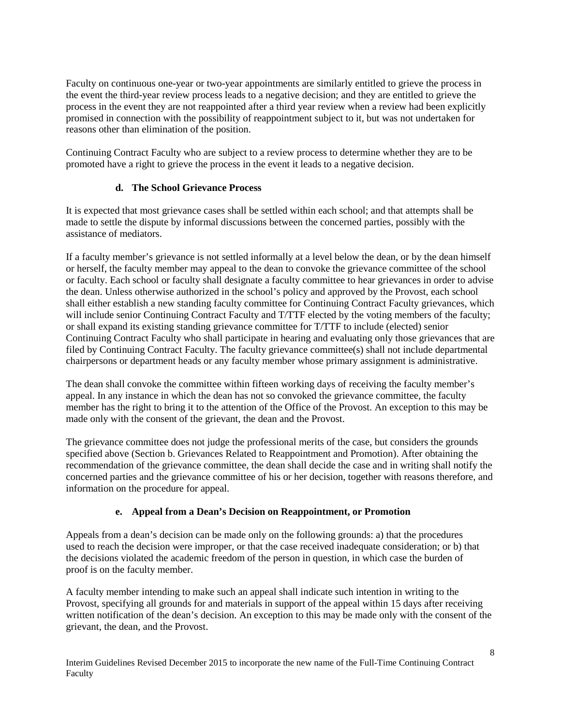Faculty on continuous one-year or two-year appointments are similarly entitled to grieve the process in the event the third-year review process leads to a negative decision; and they are entitled to grieve the process in the event they are not reappointed after a third year review when a review had been explicitly promised in connection with the possibility of reappointment subject to it, but was not undertaken for reasons other than elimination of the position.

Continuing Contract Faculty who are subject to a review process to determine whether they are to be promoted have a right to grieve the process in the event it leads to a negative decision.

## **d. The School Grievance Process**

It is expected that most grievance cases shall be settled within each school; and that attempts shall be made to settle the dispute by informal discussions between the concerned parties, possibly with the assistance of mediators.

If a faculty member's grievance is not settled informally at a level below the dean, or by the dean himself or herself, the faculty member may appeal to the dean to convoke the grievance committee of the school or faculty. Each school or faculty shall designate a faculty committee to hear grievances in order to advise the dean. Unless otherwise authorized in the school's policy and approved by the Provost, each school shall either establish a new standing faculty committee for Continuing Contract Faculty grievances, which will include senior Continuing Contract Faculty and T/TTF elected by the voting members of the faculty; or shall expand its existing standing grievance committee for T/TTF to include (elected) senior Continuing Contract Faculty who shall participate in hearing and evaluating only those grievances that are filed by Continuing Contract Faculty. The faculty grievance committee(s) shall not include departmental chairpersons or department heads or any faculty member whose primary assignment is administrative.

The dean shall convoke the committee within fifteen working days of receiving the faculty member's appeal. In any instance in which the dean has not so convoked the grievance committee, the faculty member has the right to bring it to the attention of the Office of the Provost. An exception to this may be made only with the consent of the grievant, the dean and the Provost.

The grievance committee does not judge the professional merits of the case, but considers the grounds specified above (Section b. Grievances Related to Reappointment and Promotion). After obtaining the recommendation of the grievance committee, the dean shall decide the case and in writing shall notify the concerned parties and the grievance committee of his or her decision, together with reasons therefore, and information on the procedure for appeal.

# **e. Appeal from a Dean's Decision on Reappointment, or Promotion**

Appeals from a dean's decision can be made only on the following grounds: a) that the procedures used to reach the decision were improper, or that the case received inadequate consideration; or b) that the decisions violated the academic freedom of the person in question, in which case the burden of proof is on the faculty member.

A faculty member intending to make such an appeal shall indicate such intention in writing to the Provost, specifying all grounds for and materials in support of the appeal within 15 days after receiving written notification of the dean's decision. An exception to this may be made only with the consent of the grievant, the dean, and the Provost.